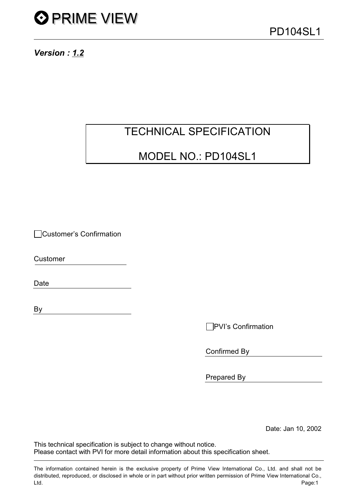

Version: 1.2

## **TECHNICAL SPECIFICATION**

## MODEL NO.: PD104SL1

□Customer's Confirmation

Customer

**Date** 

By

□PVI's Confirmation

Confirmed By

Prepared By

Date: Jan 10, 2002

This technical specification is subject to change without notice. Please contact with PVI for more detail information about this specification sheet.

The information contained herein is the exclusive property of Prime View International Co., Ltd. and shall not be distributed, reproduced, or disclosed in whole or in part without prior written permission of Prime View International Co., Ltd. Page:1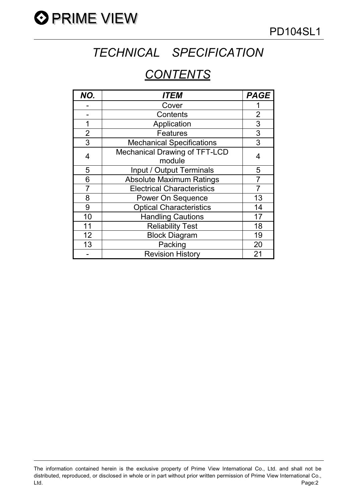

# TECHNICAL SPECIFICATION

## **CONTENTS**

| NO.            | <b>ITEM</b>                       | <b>PAGE</b>             |
|----------------|-----------------------------------|-------------------------|
|                | Cover                             |                         |
|                | Contents                          | $\overline{\mathbf{c}}$ |
| 1              | Application                       | 3                       |
| $\overline{2}$ | <b>Features</b>                   | 3                       |
| 3              | <b>Mechanical Specifications</b>  | 3                       |
| 4              | Mechanical Drawing of TFT-LCD     | 4                       |
|                | module                            |                         |
| 5              | Input / Output Terminals          | 5                       |
| 6              | <b>Absolute Maximum Ratings</b>   | $\overline{7}$          |
| 7              | <b>Electrical Characteristics</b> |                         |
| 8              | Power On Sequence                 | 13                      |
| 9              | <b>Optical Characteristics</b>    | 14                      |
| 10             | <b>Handling Cautions</b>          | 17                      |
| 11             | <b>Reliability Test</b>           | 18                      |
| 12             | <b>Block Diagram</b>              | 19                      |
| 13             | Packing                           | 20                      |
|                | <b>Revision History</b>           | 21                      |

The information contained herein is the exclusive property of Prime View International Co., Ltd. and shall not be distributed, reproduced, or disclosed in whole or in part without prior written permission of Prime View International Co., Page:2 Ltd.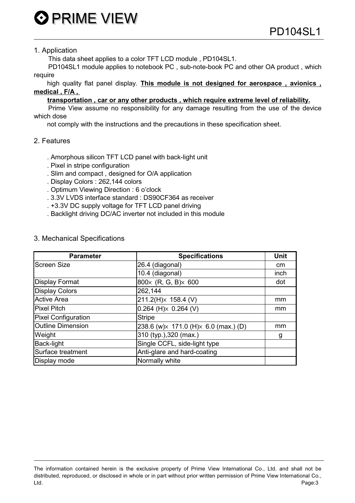**O PRIME VIEW** 

### 1. Application

This data sheet applies to a color TFT LCD module, PD104SL1.

PD104SL1 module applies to notebook PC, sub-note-book PC and other OA product, which require

high quality flat panel display. This module is not designed for aerospace, avionics, medical, F/A,

### transportation, car or any other products, which require extreme level of reliability.

Prime View assume no responsibility for any damage resulting from the use of the device which dose

not comply with the instructions and the precautions in these specification sheet.

### 2. Features

- . Amorphous silicon TFT LCD panel with back-light unit
- . Pixel in stripe configuration
- . Slim and compact, designed for O/A application
- . Display Colors: 262,144 colors
- . Optimum Viewing Direction : 6 o'clock
- . 3.3V LVDS interface standard : DS90CF364 as receiver
- . +3.3V DC supply voltage for TFT LCD panel driving
- . Backlight driving DC/AC inverter not included in this module

### 3. Mechanical Specifications

| <b>Parameter</b>           | <b>Specifications</b>                  | <b>Unit</b> |
|----------------------------|----------------------------------------|-------------|
| <b>Screen Size</b>         | 26.4 (diagonal)                        | cm          |
|                            | 10.4 (diagonal)                        | inch        |
| <b>Display Format</b>      | 800x (R, G, B) × 600                   | dot         |
| <b>Display Colors</b>      | 262,144                                |             |
| <b>Active Area</b>         | $211.2(H)x$ 158.4 (V)                  | mm          |
| <b>Pixel Pitch</b>         | $0.264$ (H) $\times$ 0.264 (V)         | mm          |
| <b>Pixel Configuration</b> | <b>Stripe</b>                          |             |
| <b>Outline Dimension</b>   | 238.6 (w) × 171.0 (H) × 6.0 (max.) (D) | mm          |
| Weight                     | 310 (typ.), 320 (max.)                 | g           |
| <b>Back-light</b>          | Single CCFL, side-light type           |             |
| Surface treatment          | Anti-glare and hard-coating            |             |
| Display mode               | Normally white                         |             |

The information contained herein is the exclusive property of Prime View International Co., Ltd. and shall not be distributed, reproduced, or disclosed in whole or in part without prior written permission of Prime View International Co., Ltd. Page:3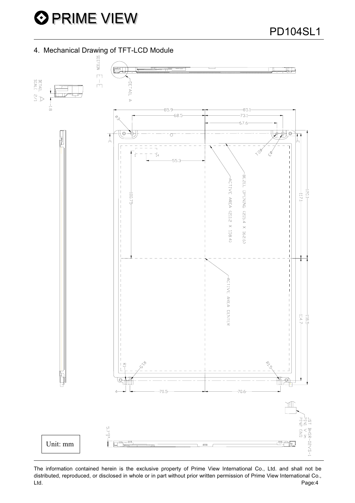**PD104SL1** 

4. Mechanical Drawing of TFT-LCD Module



The information contained herein is the exclusive property of Prime View International Co., Ltd. and shall not be distributed, reproduced, or disclosed in whole or in part without prior written permission of Prime View International Co., Page:4 Ltd.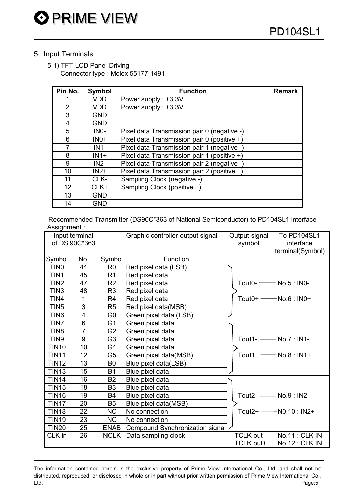### 5. Input Terminals

5-1) TFT-LCD Panel Driving Connector type: Molex 55177-1491

| Pin No.        | <b>Symbol</b> | <b>Function</b>                             | <b>Remark</b> |
|----------------|---------------|---------------------------------------------|---------------|
|                | <b>VDD</b>    | Power supply: +3.3V                         |               |
| $\overline{2}$ | VDD.          | Power supply: +3.3V                         |               |
| 3              | <b>GND</b>    |                                             |               |
| 4              | <b>GND</b>    |                                             |               |
| 5              | $INO-$        | Pixel data Transmission pair 0 (negative -) |               |
| 6              | $INO+$        | Pixel data Transmission pair 0 (positive +) |               |
| 7              | $IN1-$        | Pixel data Transmission pair 1 (negative -) |               |
| 8              | $IN1+$        | Pixel data Transmission pair 1 (positive +) |               |
| 9              | $IN2-$        | Pixel data Transmission pair 2 (negative -) |               |
| 10             | $IN2+$        | Pixel data Transmission pair 2 (positive +) |               |
| 11             | CLK-          | Sampling Clock (negative -)                 |               |
| 12             | $CLK+$        | Sampling Clock (positive +)                 |               |
| 13             | <b>GND</b>    |                                             |               |
| 14             | <b>GND</b>    |                                             |               |

Recommended Transmitter (DS90C\*363 of National Semiconductor) to PD104SL1 interface Assignment:

| Input terminal<br>of DS 90C*363 |                |                | Graphic controller output signal | Output signal<br>symbol | To PD104SL1<br>interface<br>terminal(Symbol) |
|---------------------------------|----------------|----------------|----------------------------------|-------------------------|----------------------------------------------|
| Symbol                          | No.            | Symbol         | Function                         |                         |                                              |
| TIN <sub>0</sub>                | 44             | R <sub>0</sub> | Red pixel data (LSB)             |                         |                                              |
| TIN1                            | 45             | R <sub>1</sub> | Red pixel data                   |                         |                                              |
| TIN <sub>2</sub>                | 47             | R <sub>2</sub> | Red pixel data                   | Tout <sub>0</sub> -     | $-$ No.5 : INO-                              |
| TIN <sub>3</sub>                | 48             | R <sub>3</sub> | Red pixel data                   |                         |                                              |
| TIN4                            | 1              | R <sub>4</sub> | Red pixel data                   | Tout $0+$               | No.6 : IN0+                                  |
| TIN <sub>5</sub>                | 3              | R <sub>5</sub> | Red pixel data(MSB)              |                         |                                              |
| TIN <sub>6</sub>                | $\overline{4}$ | G <sub>0</sub> | Green pixel data (LSB)           |                         |                                              |
| TIN7                            | 6              | G <sub>1</sub> | Green pixel data                 |                         |                                              |
| TIN <sub>8</sub>                | $\overline{7}$ | G <sub>2</sub> | Green pixel data                 |                         |                                              |
| TIN <sub>9</sub>                | 9              | G <sub>3</sub> | Green pixel data                 | Tout1- $-$              | $-$ No.7 : IN1-                              |
| <b>TIN10</b>                    | 10             | G4             | Green pixel data                 |                         |                                              |
| <b>TIN11</b>                    | 12             | G5             | Green pixel data(MSB)            | Tout $1+$               | -No.8 : IN1+                                 |
| <b>TIN12</b>                    | 13             | B <sub>0</sub> | Blue pixel data(LSB)             |                         |                                              |
| <b>TIN13</b>                    | 15             | <b>B1</b>      | Blue pixel data                  |                         |                                              |
| <b>TIN14</b>                    | 16             | <b>B2</b>      | Blue pixel data                  |                         |                                              |
| <b>TIN15</b>                    | 18             | B <sub>3</sub> | Blue pixel data                  |                         |                                              |
| <b>TIN16</b>                    | 19             | <b>B4</b>      | Blue pixel data                  | Tout $2-$               | - No.9 : IN2-                                |
| <b>TIN17</b>                    | 20             | B <sub>5</sub> | Blue pixel data(MSB)             |                         |                                              |
| <b>TIN18</b>                    | 22             | <b>NC</b>      | No connection                    | Tout $2+ -$             | $-NO.10: IN2+$                               |
| <b>TIN19</b>                    | 23             | <b>NC</b>      | No connection                    |                         |                                              |
| <b>TIN20</b>                    | 25             | <b>ENAB</b>    | Compound Synchronization signal  |                         |                                              |
| CLK in                          | 26             | <b>NCLK</b>    | Data sampling clock              | <b>TCLK out-</b>        | No.11 : CLK IN-                              |
|                                 |                |                |                                  | TCLK out+               | No.12 : CLK IN+                              |

The information contained herein is the exclusive property of Prime View International Co., Ltd. and shall not be distributed, reproduced, or disclosed in whole or in part without prior written permission of Prime View International Co., Page:5 Ltd.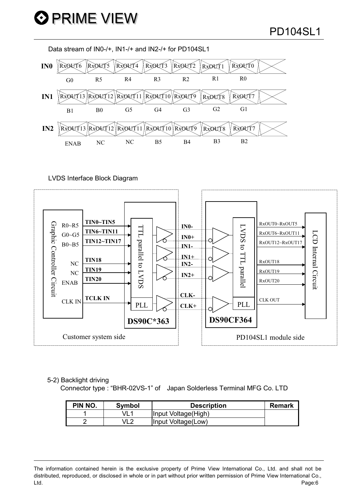Data stream of IN0-/+, IN1-/+ and IN2-/+ for PD104SL1



LVDS Interface Block Diagram



### 5-2) Backlight driving

Connector type: "BHR-02VS-1" of Japan Solderless Terminal MFG Co. LTD

| PIN NO. | Symbol | <b>Description</b>  | <b>Remark</b> |
|---------|--------|---------------------|---------------|
|         |        | Input Voltage(High) |               |
|         |        | Input Voltage(Low)  |               |

The information contained herein is the exclusive property of Prime View International Co., Ltd. and shall not be distributed, reproduced, or disclosed in whole or in part without prior written permission of Prime View International Co., Ltd. Page:6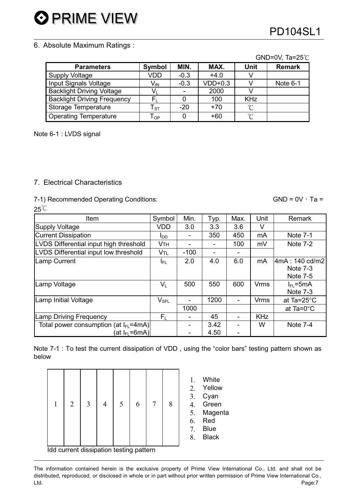**O PRIME VIEW** 

## **PD104SL1**

### 6. Absolute Maximum Ratings:

|                                    |                             |        |           |            | $UU-UV, IZ-U$ |
|------------------------------------|-----------------------------|--------|-----------|------------|---------------|
| <b>Parameters</b>                  | <b>Symbol</b>               | MIN.   | MAX.      | Unit       | <b>Remark</b> |
| <b>Supply Voltage</b>              | VDD                         | $-0.3$ | $+4.0$    |            |               |
| Input Signals Voltage              | $V_{\sf IN}$                | $-0.3$ | $VDD+0.3$ |            | Note 6-1      |
| <b>Backlight Driving Voltage</b>   | Vı                          |        | 2000      |            |               |
| <b>Backlight Driving Frequency</b> | F,                          |        | 100       | <b>KHz</b> |               |
| Storage Temperature                | ${\sf T}_{\tt ST}$          | $-20$  | $+70$     | °C         |               |
| <b>Operating Temperature</b>       | ${\mathsf T}_{\textsf{OP}}$ |        | $+60$     | °C         |               |

Note 6-1 : LVDS signal

### 7. Electrical Characteristics

### 7-1) Recommended Operating Conditions:

### $25^{\circ}C$ Item Symbol Min. Typ. Max. Unit Remark **VDD**  $\overline{3.0}$ **Supply Voltage**  $3.3$ 3.6  $\vee$ **Current Dissipation** 350 450 mA **Note 7-1**  $I_{DD}$  $\blacksquare$ Note  $7-2$ LVDS Differential input high threshold **VTH**  $\overline{a}$  $\overline{a}$ 100 mV LVDS Differential input low threshold  $-100$  $\overline{a}$ V<sub>TI</sub>  $\mathbf{r}$  $2.0$  $4.0$  $6.0$ 4mA: 140 cd/m2 **Lamp Current**  $I_{FL}$ m<sub>A</sub> Note 7-3 Note 7-5 Lamp Voltage  $V_{L}$ 500 550 600 **Vrms**  $I<sub>FI</sub> = 5mA$ Note 7-3 1200 Lamp Initial Voltage  $V_{\texttt{SFL}}$  $\Box$  $\overline{\phantom{a}}$ **Vrms** at Ta=25°C 1000 at Ta= $0^{\circ}$ C **Lamp Driving Frequency**  $F_L$ 45 **KHz**  $\mathbf{u}$  $\mathbf{r}$ Note  $7-4$ Total power consumption (at  $I_F = 4mA$ )  $3.42$  $\overline{W}$  $\overline{a}$  $\overline{a}$ 4.50 (at  $I_{FI}$  =6mA)  $\overline{a}$  $\frac{1}{2}$

Note 7-1 : To test the current dissipation of VDD, using the "color bars" testing pattern shown as below

| 1 | $\overline{2}$ | 3 | $\overline{4}$ | 5 | 6 | 7 | 8 | 1.<br>2. $3.4.5.6.7.8.$ |
|---|----------------|---|----------------|---|---|---|---|-------------------------|
|---|----------------|---|----------------|---|---|---|---|-------------------------|

Idd current dissipation testing pattern

The information contained herein is the exclusive property of Prime View International Co., Ltd. and shall not be distributed, reproduced, or disclosed in whole or in part without prior written permission of Prime View International Co., Ltd. Page:7

| Remark |
|--------|
|--------|

 $CND - QV T = 2E^{\circ}C$ 

 $GND = 0V \cdot Ta =$ 

# White

- Yellow
- Cyan
- Green
- Magenta
- Red
- **Blue**
- **Black**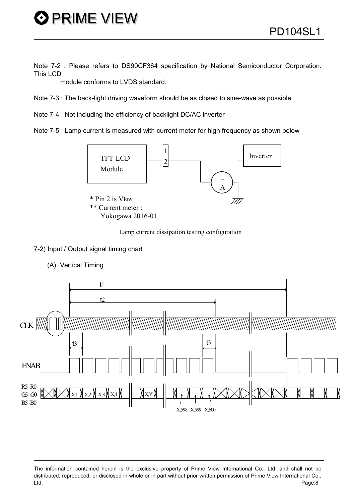Note 7-2 : Please refers to DS90CF364 specification by National Semiconductor Corporation. This LCD

module conforms to LVDS standard.

Note 7-3 : The back-light driving waveform should be as closed to sine-wave as possible

Note 7-4 : Not including the efficiency of backlight DC/AC inverter

Note 7-5 : Lamp current is measured with current meter for high frequency as shown below



Lamp current dissipation testing configuration



(A) Vertical Timing



The information contained herein is the exclusive property of Prime View International Co., Ltd. and shall not be distributed, reproduced, or disclosed in whole or in part without prior written permission of Prime View International Co., Ltd. Page:8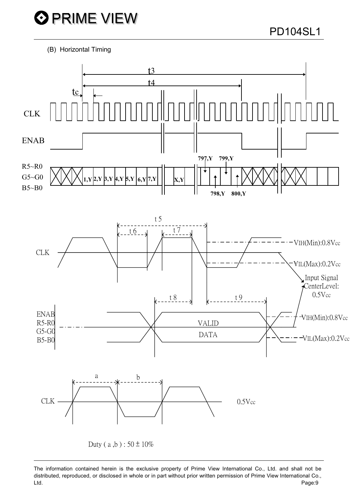(B) Horizontal Timing



The information contained herein is the exclusive property of Prime View International Co., Ltd. and shall not be distributed, reproduced, or disclosed in whole or in part without prior written permission of Prime View International Co., Page:9 Ltd.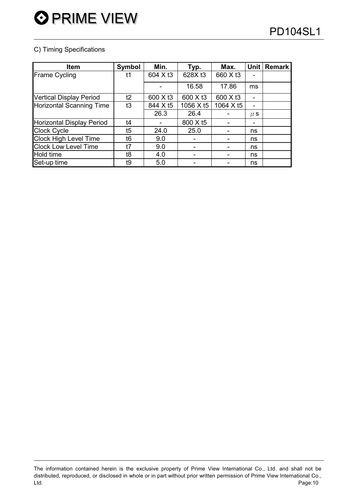### C) Timing Specifications

| <b>Item</b>                    | Symbol | Min.     | Typ.      | Max.      | <b>Unit</b> | <b>Remark</b> |
|--------------------------------|--------|----------|-----------|-----------|-------------|---------------|
| <b>Frame Cycling</b>           | t1     | 604 X t3 | 628X t3   | 660 X t3  |             |               |
|                                |        |          | 16.58     | 17.86     | ms          |               |
| <b>Vertical Display Period</b> | t2     | 600 X t3 | 600 X t3  | 600 X t3  |             |               |
| Horizontal Scanning Time       | t3     | 844 X t5 | 1056 X t5 | 1064 X t5 | ۰           |               |
|                                |        | 26.3     | 26.4      |           | $\mu$ S     |               |
| Horizontal Display Period      | t4     |          | 800 X t5  |           |             |               |
| <b>Clock Cycle</b>             | t5     | 24.0     | 25.0      |           | ns          |               |
| <b>Clock High Level Time</b>   | t6     | 9.0      |           |           | ns          |               |
| <b>Clock Low Level Time</b>    | t7     | 9.0      |           |           | ns          |               |
| Hold time                      | t8     | 4.0      |           |           | ns          |               |
| Set-up time                    | t9     | 5.0      |           |           | ns          |               |

The information contained herein is the exclusive property of Prime View International Co., Ltd. and shall not be distributed, reproduced, or disclosed in whole or in part without prior written permission of Prime View International Co., Ltd. Page:10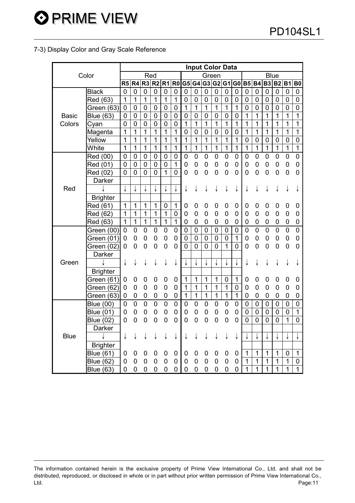### 7-3) Display Color and Gray Scale Reference

|              |                  |                |                  |                  |                |                |                  |                |                |                  | <b>Input Color Data</b> |                  |                |                |                |                |                |                  |                |
|--------------|------------------|----------------|------------------|------------------|----------------|----------------|------------------|----------------|----------------|------------------|-------------------------|------------------|----------------|----------------|----------------|----------------|----------------|------------------|----------------|
|              | Color            |                |                  | Red              |                |                |                  |                |                | Green            |                         |                  |                |                |                |                | <b>Blue</b>    |                  |                |
|              |                  | R5             | R4               | R <sub>3</sub>   | R2 R1          |                | R <sub>0</sub>   |                | G5 G4          |                  | G3 G2 G1                |                  | G <sub>0</sub> | <b>B5</b>      | <b>B4</b>      | <b>B3</b>      | <b>B2</b>      | <b>B1</b>        | <b>B0</b>      |
|              | <b>Black</b>     | $\mathbf 0$    | $\mathbf 0$      | $\mathbf 0$      | $\mathbf 0$    | $\mathbf 0$    | $\mathbf 0$      | $\mathbf 0$    | $\mathbf 0$    | $\mathbf 0$      | $\mathbf 0$             | 0                | 0              | 0              | 0              | 0              | 0              | 0                | 0              |
|              | Red (63)         | $\mathbf{1}$   | $\overline{1}$   | $\mathbf{1}$     | 1              | $\mathbf{1}$   | $\mathbf{1}$     | $\mathbf 0$    | $\overline{0}$ | $\mathbf 0$      | $\overline{0}$          | 0                | $\mathbf 0$    | 0              | 0              | 0              | 0              | $\mathbf 0$      | $\mathbf 0$    |
|              | Green (63)       | $\mathbf 0$    | $\boldsymbol{0}$ | $\boldsymbol{0}$ | $\pmb{0}$      | $\mathbf 0$    | $\overline{0}$   | 1              | $\overline{1}$ | $\overline{1}$   | $\overline{1}$          | 1                | $\overline{1}$ | $\overline{0}$ | 0              | 0              | 0              | 0                | $\overline{0}$ |
| <b>Basic</b> | <b>Blue (63)</b> | $\mathbf 0$    | $\mathbf 0$      | $\mathbf 0$      | $\mathbf 0$    | $\mathbf 0$    | $\boldsymbol{0}$ | $\mathbf 0$    | $\overline{0}$ | $\overline{0}$   | $\overline{0}$          | $\boldsymbol{0}$ | 0              | 1              | 1              | $\mathbf 1$    | 1              | 1                | 1              |
| Colors       | Cyan             | $\mathbf 0$    | $\mathbf 0$      | $\mathbf 0$      | $\mathbf 0$    | $\mathbf 0$    | $\mathbf 0$      | $\mathbf{1}$   | 1              | $\mathbf{1}$     | $\mathbf 1$             | $\mathbf{1}$     | $\mathbf 1$    | 1              | $\overline{1}$ | $\mathbf{1}$   | 1              | $\mathbf{1}$     | 1              |
|              | Magenta          | $\overline{1}$ | 1                | 1                | $\overline{1}$ | $\mathbf{1}$   | $\mathbf{1}$     | $\mathbf 0$    | $\mathbf 0$    | $\mathbf 0$      | $\mathbf 0$             | $\mathbf 0$      | $\overline{0}$ | $\mathbf{1}$   | $\overline{1}$ | $\overline{1}$ | 1              | $\overline{1}$   | 1              |
|              | Yellow           | $\overline{1}$ | 1                | 1                | 1              | 1              | $\overline{1}$   | $\overline{1}$ | 1              | $\mathbf{1}$     | 1                       | $\mathbf{1}$     | 1              | $\overline{0}$ | $\overline{0}$ | $\mathbf 0$    | $\mathbf 0$    | $\overline{0}$   | $\overline{0}$ |
|              | White            | 1              | 1                | 1                | $\overline{1}$ | $\mathbf{1}$   | 1                | $\mathbf{1}$   | $\mathbf{1}$   | $\mathbf 1$      | $\overline{1}$          | $\mathbf 1$      | $\overline{1}$ | $\mathbf 1$    | $\overline{1}$ | $\mathbf{1}$   | $\overline{1}$ | $\overline{1}$   | $\overline{1}$ |
|              | Red (00)         | $\overline{0}$ | $\mathbf 0$      | $\mathbf 0$      | $\mathbf 0$    | $\mathbf 0$    | $\mathbf 0$      | $\mathbf 0$    | 0              | $\mathbf 0$      | $\overline{0}$          | 0                | $\overline{0}$ | 0              | 0              | 0              | 0              | 0                | 0              |
|              | Red (01)         | $\overline{0}$ | $\overline{0}$   | $\mathbf 0$      | $\overline{0}$ | $\mathbf 0$    | $\mathbf{1}$     | $\mathbf 0$    | 0              | $\mathbf 0$      | $\overline{0}$          | 0                | $\overline{0}$ | $\overline{0}$ | $\overline{0}$ | $\mathbf 0$    | 0              | 0                | 0              |
|              | Red (02)         | $\overline{0}$ | $\overline{0}$   | $\overline{0}$   | $\overline{0}$ | $\mathbf{1}$   | 0                | $\overline{0}$ | $\overline{0}$ | $\boldsymbol{0}$ | $\overline{0}$          | $\boldsymbol{0}$ | $\overline{0}$ | 0              | 0              | $\mathbf 0$    | 0              | $\boldsymbol{0}$ | $\overline{0}$ |
|              | Darker           |                |                  |                  |                |                |                  |                |                |                  |                         |                  |                |                |                |                |                |                  |                |
| Red          |                  | ↓              | ↓                | ↓                | ↓              |                |                  | ↓              | ↓              | ↓                | ↓                       | ↓                | ↓              | ↓              | ↓              | ↓              |                | ↓                |                |
|              | <b>Brighter</b>  |                |                  |                  |                |                |                  |                |                |                  |                         |                  |                |                |                |                |                |                  |                |
|              | Red (61)         | 1              | 1                | 1                | 1              | 0              | 1                | 0              | 0              | 0                | 0                       | 0                | 0              | 0              | 0              | 0              | 0              | 0                | 0              |
|              | Red (62)         | 1              | $\mathbf 1$      | 1                | $\mathbf 1$    | $\mathbf 1$    | 0                | $\mathbf 0$    | 0              | 0                | 0                       | 0                | 0              | 0              | 0              | 0              | 0              | 0                | 0              |
|              | Red (63)         | 1              | $\overline{1}$   | $\mathbf{1}$     | $\mathbf 1$    | $\mathbf 1$    | $\mathbf{1}$     | $\mathbf 0$    | 0              | 0                | 0                       | $\mathbf 0$      | 0              | 0              | 0              | 0              | 0              | 0                | 0              |
|              | Green (00)       | 0              | 0                | 0                | 0              | 0              | $\mathbf 0$      | 0              | $\mathbf 0$    | $\mathbf 0$      | $\mathbf 0$             | 0                | 0              | 0              | 0              | $\mathbf 0$    | 0              | $\boldsymbol{0}$ | $\overline{0}$ |
|              | Green (01)       | $\mathbf 0$    | 0                | 0                | 0              | $\overline{0}$ | 0                | 0              | $\mathbf 0$    | $\mathbf 0$      | $\overline{0}$          | 0                | $\mathbf{1}$   | 0              | 0              | 0              | 0              | 0                | 0              |
|              | Green (02)       | 0              | 0                | 0                | $\overline{0}$ | 0              | $\overline{0}$   | $\overline{0}$ | $\overline{0}$ | $\overline{0}$   | $\overline{0}$          | $\mathbf{1}$     | $\overline{0}$ | 0              | 0              | $\mathbf 0$    | 0              | 0                | 0              |
|              | Darker           |                |                  |                  |                |                |                  |                |                |                  |                         |                  |                |                |                |                |                |                  |                |
| Green        |                  | ↓              | ↓                | ↓                |                |                |                  |                |                | ↓                | ↓                       | ↓                | ↓              | ↓              |                |                |                |                  |                |
|              | <b>Brighter</b>  |                |                  |                  |                |                |                  |                |                |                  |                         |                  |                |                |                |                |                |                  |                |
|              | Green (61)       | 0              | 0                | 0                | 0              | 0              | 0                | $\mathbf 1$    | 1              | 1                | 1                       | 0                | $\mathbf 1$    | 0              | 0              | 0              | 0              | 0                | 0              |
|              | Green (62)       | $\mathbf 0$    | $\mathbf 0$      | $\mathbf 0$      | $\mathbf 0$    | 0              | 0                | 1              | $\overline{1}$ | $\overline{1}$   | $\overline{1}$          | 1                | 0              | $\overline{0}$ | 0              | $\overline{0}$ | 0              | $\mathbf 0$      | 0              |
|              | Green (63)       | 0              | $\mathbf 0$      | $\mathbf 0$      | 0              | $\mathbf 0$    | 0                | $\mathbf 1$    | $\mathbf{1}$   | $\mathbf{1}$     | $\mathbf 1$             | 1                | 1              | 0              | 0              | 0              | 0              | 0                | 0              |
|              | <b>Blue (00)</b> | $\mathbf 0$    | $\mathbf 0$      | $\mathbf 0$      | $\mathbf 0$    | $\mathbf 0$    | $\mathbf 0$      | $\mathbf 0$    | $\mathbf 0$    | $\mathbf 0$      | $\mathbf 0$             | $\mathbf 0$      | 0              | 0              | 0              | 0              | 0              | $\mathbf 0$      | $\mathbf 0$    |
|              | <b>Blue (01)</b> | 0              | 0                | 0                | 0              | $\mathbf 0$    | $\mathbf 0$      | $\mathbf 0$    | $\mathbf 0$    | $\mathbf 0$      | $\mathbf 0$             | $\mathbf 0$      | $\mathbf 0$    | 0              | 0              | 0              | $\mathbf 0$    | 0                | 1              |
|              | <b>Blue (02)</b> | 0              | 0                | 0                | 0              | 0              | $\mathbf 0$      | $\mathbf 0$    | $\overline{0}$ | $\mathbf 0$      | $\overline{0}$          | $\mathbf 0$      | $\overline{0}$ | 0              | $\overline{0}$ | $\overline{0}$ | $\overline{0}$ | 1                | $\overline{0}$ |
|              | Darker           |                |                  |                  |                |                |                  |                |                |                  |                         |                  |                |                |                |                |                |                  |                |
| <b>Blue</b>  |                  | ↓              |                  |                  |                |                |                  |                |                | ↓                |                         | ↓                | ↓              | ↓              | ↓              | ↓              | ↓              | ↓                | ↓              |
|              | <b>Brighter</b>  |                |                  |                  |                |                |                  |                |                |                  |                         |                  |                |                |                |                |                |                  |                |
|              | <b>Blue (61)</b> | 0              | 0                | 0                | 0              | 0              | 0                | 0              | 0              | 0                | 0                       | 0                | 0              | 1              | 1              | 1              | 1              | 0                | 1              |
|              | Blue (62)        | 0              | 0                | 0                | 0              | 0              | $\mathbf 0$      | 0              | 0              | $\mathbf 0$      | 0                       | $\mathbf 0$      | 0              | 1              | 1              | $\mathbf 1$    | $\mathbf{1}$   | 1                | 0              |
|              | <b>Blue (63)</b> | 0              | 0                | 0                | 0              | $\mathbf 0$    | 0                | $\mathbf 0$    | $\overline{0}$ | $\mathbf 0$      | 0                       | $\mathbf 0$      | 0              | 1              | 1              | 1              | 1              | 1                | 1              |

The information contained herein is the exclusive property of Prime View International Co., Ltd. and shall not be distributed, reproduced, or disclosed in whole or in part without prior written permission of Prime View International Co., Ltd. Page:11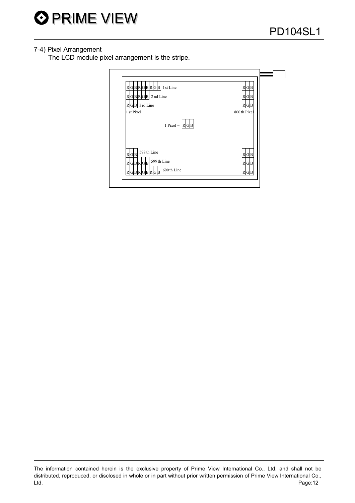

### 7-4) Pixel Arrangement

The LCD module pixel arrangement is the stripe.

| RGBRGBRGB 1st Line<br>RGBRGB 2nd Line<br>$R$ G <sub>B</sub> 3rd Line<br>1 st Pixel<br>1 Pixel = $\boxed{R}$ G B | $R$ G $B$<br>$R$ G $B$<br>GlB<br>800th Pixel |  |
|-----------------------------------------------------------------------------------------------------------------|----------------------------------------------|--|
| 598th Line<br>$R$ G $B$<br>599th Line<br><b>RGBRGB</b><br>600th Line<br>RGBRGBRGB                               | $R$ G $B$<br>GB<br>R<br>$R$ G $B$            |  |

The information contained herein is the exclusive property of Prime View International Co., Ltd. and shall not be distributed, reproduced, or disclosed in whole or in part without prior written permission of Prime View International Co., Page:12 Ltd.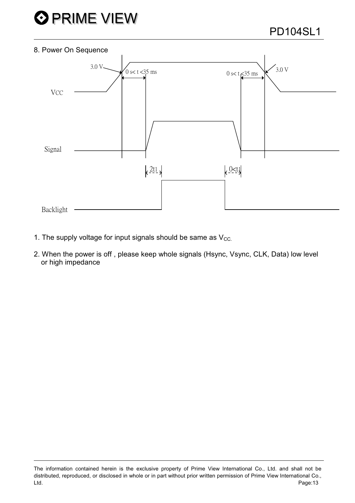

### 8. Power On Sequence



- 1. The supply voltage for input signals should be same as  $V_{\text{CC}}$
- 2. When the power is off, please keep whole signals (Hsync, Vsync, CLK, Data) low level or high impedance

The information contained herein is the exclusive property of Prime View International Co., Ltd. and shall not be distributed, reproduced, or disclosed in whole or in part without prior written permission of Prime View International Co., Ltd. Page:13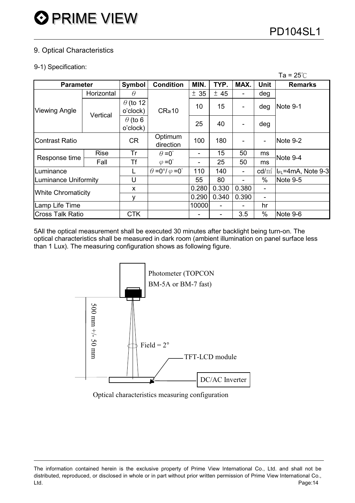### 9. Optical Characteristics

### 9-1) Specification:

|                             |             |                             |                                          |       |       |       |                 | 1a = 25 C               |
|-----------------------------|-------------|-----------------------------|------------------------------------------|-------|-------|-------|-----------------|-------------------------|
| <b>Parameter</b>            |             | Symbol                      | <b>Condition</b>                         | MIN.  | TYP.  | MAX.  | <b>Unit</b>     | <b>Remarks</b>          |
|                             | Horizontal  | $\theta$                    |                                          | ± 35  | ± 45  |       | deg             |                         |
| <b>Viewing Angle</b>        | Vertical    | $\theta$ (to 12<br>o'clock) | $CR \ge 10$                              | 10    | 15    |       | deg             | Note 9-1                |
|                             |             | $\theta$ (to 6<br>o'clock)  |                                          | 25    | 40    |       | deg             |                         |
| <b>Contrast Ratio</b>       |             | <b>CR</b>                   | Optimum<br>direction                     | 100   | 180   |       |                 | Note 9-2                |
|                             | <b>Rise</b> | Tr                          | $\theta = 0^{\circ}$                     |       | 15    | 50    | ms              | Note 9-4                |
| Response time               | Fall        | <b>Tf</b>                   | $\varphi = 0^{\circ}$                    |       | 25    | 50    | ms              |                         |
| Luminance                   |             | L                           | $\theta = 0^{\circ}/\varphi = 0^{\circ}$ | 110   | 140   |       | $\text{cd/m}^2$ | $I_{FL}$ =4mA, Note 9-3 |
| <b>Luminance Uniformity</b> |             | U                           |                                          | 55    | 80    |       | $\%$            | Note 9-5                |
|                             |             | X                           |                                          | 0.280 | 0.330 | 0.380 | -               |                         |
| <b>White Chromaticity</b>   |             | ۷                           |                                          | 0.290 | 0.340 | 0.390 |                 |                         |
| Lamp Life Time              |             |                             |                                          | 10000 |       |       | hr              |                         |
| <b>Cross Talk Ratio</b>     |             | <b>CTK</b>                  |                                          |       |       | 3.5   | $\%$            | Note 9-6                |

5All the optical measurement shall be executed 30 minutes after backlight being turn-on. The optical characteristics shall be measured in dark room (ambient illumination on panel surface less than 1 Lux). The measuring configuration shows as following figure.



Optical characteristics measuring configuration

The information contained herein is the exclusive property of Prime View International Co., Ltd. and shall not be distributed, reproduced, or disclosed in whole or in part without prior written permission of Prime View International Co., Ltd. Page:14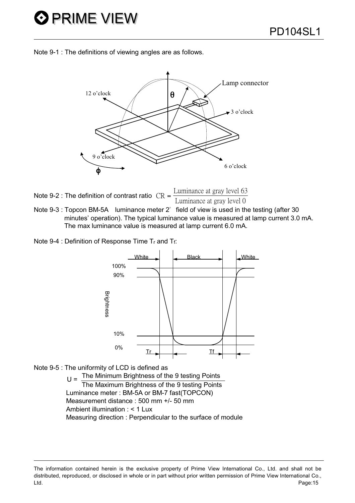Note 9-1 : The definitions of viewing angles are as follows.



| Note 9-2 : The definition of contrast ratio $CR = \frac{2.25 \times 10^{-10}}{10^{-10}}$ | Luminance at gray level 63 |
|------------------------------------------------------------------------------------------|----------------------------|
|                                                                                          | Luminance at gray level 0  |

Note 9-3 : Topcon BM-5A luminance meter 2° field of view is used in the testing (after 30 minutes' operation). The typical luminance value is measured at lamp current 3.0 mA. The max luminance value is measured at lamp current 6.0 mA.

Note 9-4 : Definition of Response Time Tr and Tf:





 $U =$  The Minimum Brightness of the 9 testing Points The Maximum Brightness of the 9 testing Points Luminance meter: BM-5A or BM-7 fast(TOPCON) Measurement distance: 500 mm +/- 50 mm Ambient illumination : < 1 Lux Measuring direction : Perpendicular to the surface of module

The information contained herein is the exclusive property of Prime View International Co., Ltd. and shall not be distributed, reproduced, or disclosed in whole or in part without prior written permission of Prime View International Co., Ltd. Page:15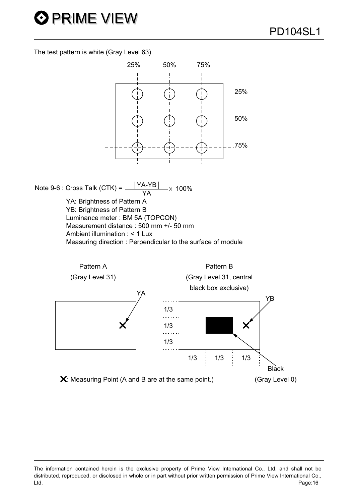The test pattern is white (Gray Level 63).

**O PRIME VIEW** 



Note 9-6 : Cross Talk (CTK) =  $\frac{|YA-YB|}{YA} \times 100\%$ YA: Brightness of Pattern A YB: Brightness of Pattern B Luminance meter: BM 5A (TOPCON) Measurement distance : 500 mm +/- 50 mm Ambient illumination : < 1 Lux Measuring direction : Perpendicular to the surface of module



The information contained herein is the exclusive property of Prime View International Co., Ltd. and shall not be distributed, reproduced, or disclosed in whole or in part without prior written permission of Prime View International Co., Ltd. Page:16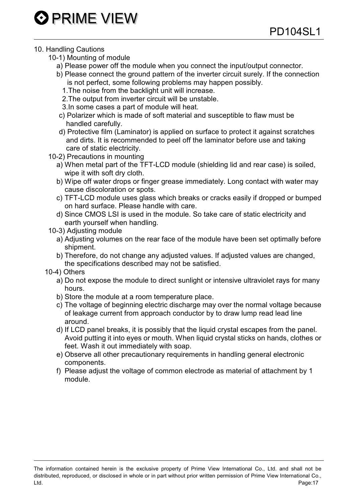### 10. Handling Cautions

- 10-1) Mounting of module
	- a) Please power off the module when you connect the input/output connector.
	- b) Please connect the ground pattern of the inverter circuit surely. If the connection is not perfect, some following problems may happen possibly.
		- 1. The noise from the backlight unit will increase.
		- 2. The output from inverter circuit will be unstable.
		- 3. In some cases a part of module will heat.
	- c) Polarizer which is made of soft material and susceptible to flaw must be handled carefully.
	- d) Protective film (Laminator) is applied on surface to protect it against scratches and dirts. It is recommended to peel off the laminator before use and taking care of static electricity.
- 10-2) Precautions in mounting
	- a) When metal part of the TFT-LCD module (shielding lid and rear case) is soiled, wipe it with soft dry cloth.
	- b) Wipe off water drops or finger grease immediately. Long contact with water may cause discoloration or spots.
	- c) TFT-LCD module uses glass which breaks or cracks easily if dropped or bumped on hard surface. Please handle with care.
	- d) Since CMOS LSI is used in the module. So take care of static electricity and earth vourself when handling.
- 10-3) Adjusting module
	- a) Adjusting volumes on the rear face of the module have been set optimally before shipment.
	- b) Therefore, do not change any adjusted values. If adjusted values are changed, the specifications described may not be satisfied.
- 10-4) Others
	- a) Do not expose the module to direct sunlight or intensive ultraviolet rays for many hours.
	- b) Store the module at a room temperature place.
	- c) The voltage of beginning electric discharge may over the normal voltage because of leakage current from approach conductor by to draw lump read lead line around.
	- d) If LCD panel breaks, it is possibly that the liquid crystal escapes from the panel. Avoid putting it into eyes or mouth. When liquid crystal sticks on hands, clothes or feet. Wash it out immediately with soap.
	- e) Observe all other precautionary requirements in handling general electronic components.
	- f) Please adjust the voltage of common electrode as material of attachment by 1 module.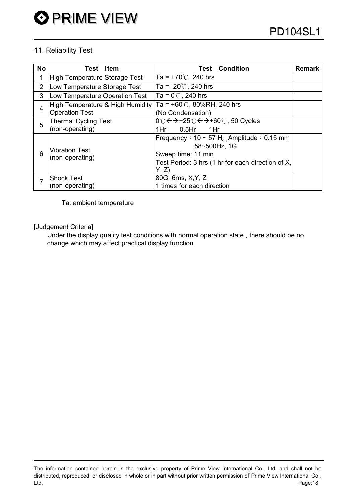### 11. Reliability Test

| <b>No</b>      | <b>Item</b><br>Test                                           | <b>Test Condition</b>                                            | <b>Remark</b> |
|----------------|---------------------------------------------------------------|------------------------------------------------------------------|---------------|
| 1              | <b>High Temperature Storage Test</b>                          | Ta = $+70^{\circ}$ C, 240 hrs                                    |               |
| $\overline{2}$ | Ta = -20 $\degree$ C, 240 hrs<br>Low Temperature Storage Test |                                                                  |               |
| 3              | Ta = $0^{\circ}$ C, 240 hrs<br>Low Temperature Operation Test |                                                                  |               |
| $\overline{4}$ | High Temperature & High Humidity                              | Ta = $+60^{\circ}$ C, 80%RH, 240 hrs                             |               |
|                | <b>Operation Test</b>                                         | (No Condensation)                                                |               |
| 5              | <b>Thermal Cycling Test</b>                                   | l0℃ <del>&lt;&gt;</del> +25℃ <del>&lt;&gt;</del> +60℃, 50 Cycles |               |
|                | (non-operating)                                               | $0.5$ Hr<br>1Hr<br>1Hr.                                          |               |
| 6              | <b>Vibration Test</b><br>(non-operating)                      | Frequency: $10 \sim 57$ H <sub>z</sub> Amplitude: 0.15 mm        |               |
|                |                                                               | 58~500Hz, 1G                                                     |               |
|                |                                                               | Sweep time: 11 min                                               |               |
|                |                                                               | Test Period: 3 hrs (1 hr for each direction of X,                |               |
|                |                                                               | Y, Z                                                             |               |
| 7              | <b>Shock Test</b>                                             | 80G, 6ms, X, Y, Z                                                |               |
|                | (non-operating)                                               | 1 times for each direction                                       |               |

Ta: ambient temperature

[Judgement Criteria]

Under the display quality test conditions with normal operation state, there should be no change which may affect practical display function.

The information contained herein is the exclusive property of Prime View International Co., Ltd. and shall not be distributed, reproduced, or disclosed in whole or in part without prior written permission of Prime View International Co., Page:18 Ltd.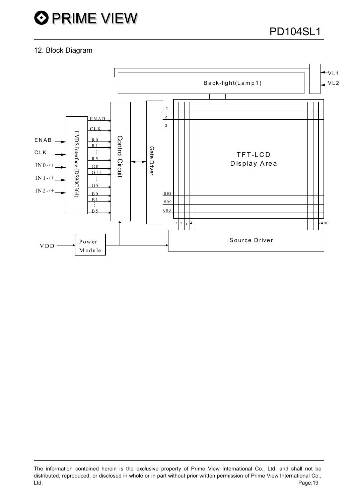### 12. Block Diagram



The information contained herein is the exclusive property of Prime View International Co., Ltd. and shall not be distributed, reproduced, or disclosed in whole or in part without prior written permission of Prime View International Co., Page:19 Ltd.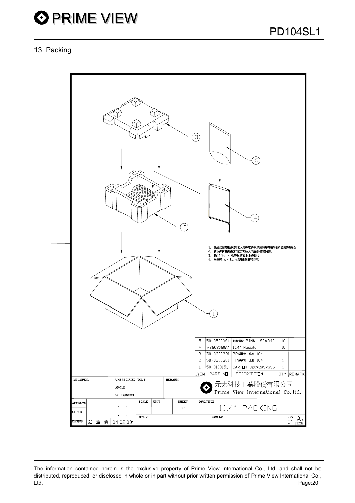

### 13. Packing



The information contained herein is the exclusive property of Prime View International Co., Ltd. and shall not be distributed, reproduced, or disclosed in whole or in part without prior written permission of Prime View International Co., Ltd. Page:20